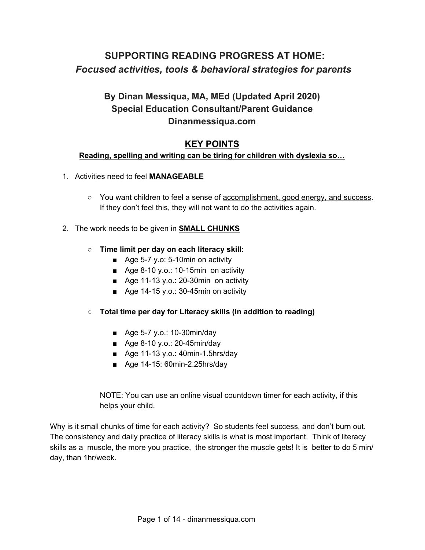# **SUPPORTING READING PROGRESS AT HOME:** *Focused activities, tools & behavioral strategies for parents*

# **By Dinan Messiqua, MA, MEd (Updated April 2020) Special Education Consultant/Parent Guidance Dinanmessiqua.com**

## **KEY POINTS**

## **Reading, spelling and writing can be tiring for children with dyslexia so…**

- 1. Activities need to feel **MANAGEABLE**
	- **○** You want children to feel a sense of accomplishment, good energy, and success. If they don't feel this, they will not want to do the activities again.

### 2. The work needs to be given in **SMALL CHUNKS**

- **Time limit per day on each literacy skill**:
	- Age 5-7 y.o: 5-10min on activity
	- Age 8-10 y.o.: 10-15min on activity
	- Age 11-13 y.o.: 20-30min on activity
	- Age 14-15 y.o.: 30-45min on activity
- **Total time per day for Literacy skills (in addition to reading)**
	- Age 5-7 y.o.: 10-30min/day
	- Age 8-10 y.o.: 20-45min/day
	- Age 11-13 y.o.: 40min-1.5hrs/day
	- Age 14-15: 60min-2.25hrs/day

NOTE: You can use an online visual countdown timer for each activity, if this helps your child.

Why is it small chunks of time for each activity? So students feel success, and don't burn out. The consistency and daily practice of literacy skills is what is most important. Think of literacy skills as a muscle, the more you practice, the stronger the muscle gets! It is better to do 5 min/ day, than 1hr/week.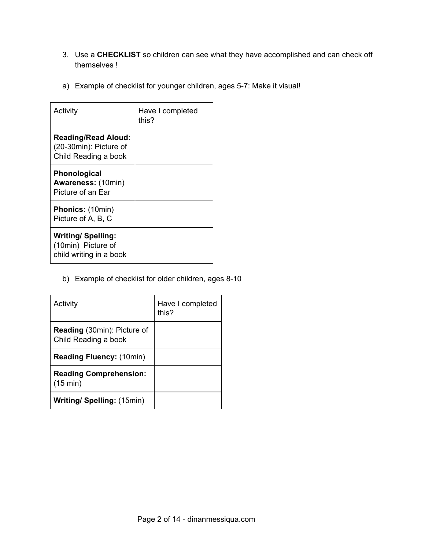- 3. Use a **CHECKLIST** so children can see what they have accomplished and can check off themselves !
- a) Example of checklist for younger children, ages 5-7: Make it visual!

| Activity                                                                     | Have I completed<br>this? |
|------------------------------------------------------------------------------|---------------------------|
| <b>Reading/Read Aloud:</b><br>(20-30min): Picture of<br>Child Reading a book |                           |
| <b>Phonological</b><br><b>Awareness: (10min)</b><br>Picture of an Ear        |                           |
| <b>Phonics: (10min)</b><br>Picture of A, B, C                                |                           |
| <b>Writing/ Spelling:</b><br>(10min) Picture of<br>child writing in a book   |                           |

b) Example of checklist for older children, ages 8-10

| Activity                                                   | Have I completed<br>this? |
|------------------------------------------------------------|---------------------------|
| <b>Reading</b> (30min): Picture of<br>Child Reading a book |                           |
| <b>Reading Fluency: (10min)</b>                            |                           |
| <b>Reading Comprehension:</b><br>$(15 \text{ min})$        |                           |
| <b>Writing/ Spelling: (15min)</b>                          |                           |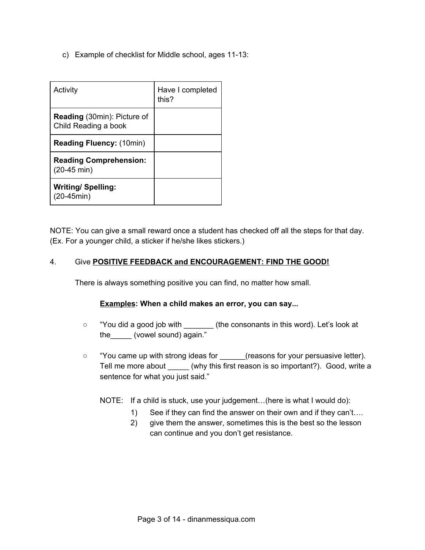c) Example of checklist for Middle school, ages 11-13:

| Activity                                                   | Have I completed<br>this? |
|------------------------------------------------------------|---------------------------|
| <b>Reading</b> (30min): Picture of<br>Child Reading a book |                           |
| <b>Reading Fluency: (10min)</b>                            |                           |
| <b>Reading Comprehension:</b><br>$(20-45 \text{ min})$     |                           |
| <b>Writing/Spelling:</b><br>(20-45min)                     |                           |

NOTE: You can give a small reward once a student has checked off all the steps for that day. (Ex. For a younger child, a sticker if he/she likes stickers.)

### 4. Give **POSITIVE FEEDBACK and ENCOURAGEMENT: FIND THE GOOD!**

There is always something positive you can find, no matter how small.

#### **Examples: When a child makes an error, you can say...**

- "You did a good job with \_\_\_\_\_\_\_ (the consonants in this word). Let's look at the (vowel sound) again."
- "You came up with strong ideas for \_\_\_\_\_\_(reasons for your persuasive letter). Tell me more about \_\_\_\_\_ (why this first reason is so important?). Good, write a sentence for what you just said."
	- NOTE: If a child is stuck, use your judgement…(here is what I would do):
		- 1) See if they can find the answer on their own and if they can't….
		- 2) give them the answer, sometimes this is the best so the lesson can continue and you don't get resistance.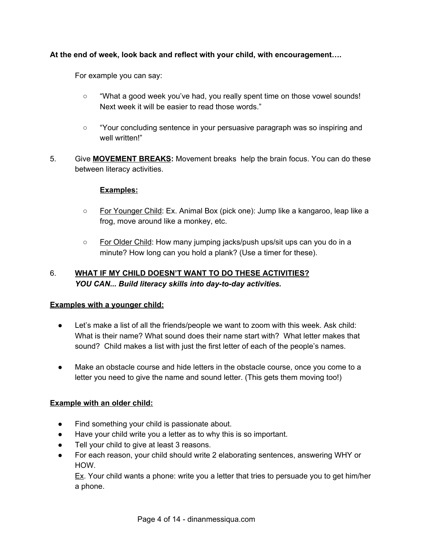## **At the end of week, look back and reflect with your child, with encouragement….**

For example you can say:

- "What a good week you've had, you really spent time on those vowel sounds! Next week it will be easier to read those words."
- "Your concluding sentence in your persuasive paragraph was so inspiring and well written!"
- 5. Give **MOVEMENT BREAKS:** Movement breaks help the brain focus. You can do these between literacy activities.

### **Examples:**

- For Younger Child: Ex. Animal Box (pick one): Jump like a kangaroo, leap like a frog, move around like a monkey, etc.
- For Older Child: How many jumping jacks/push ups/sit ups can you do in a minute? How long can you hold a plank? (Use a timer for these).

## 6. **WHAT IF MY CHILD DOESN'T WANT TO DO THESE ACTIVITIES?** *YOU CAN... Build literacy skills into day-to-day activities.*

#### **Examples with a younger child:**

- Let's make a list of all the friends/people we want to zoom with this week. Ask child: What is their name? What sound does their name start with? What letter makes that sound? Child makes a list with just the first letter of each of the people's names.
- Make an obstacle course and hide letters in the obstacle course, once you come to a letter you need to give the name and sound letter. (This gets them moving too!)

## **Example with an older child:**

- Find something your child is passionate about.
- Have your child write you a letter as to why this is so important.
- Tell your child to give at least 3 reasons.
- For each reason, your child should write 2 elaborating sentences, answering WHY or HOW.

Ex. Your child wants a phone: write you a letter that tries to persuade you to get him/her a phone.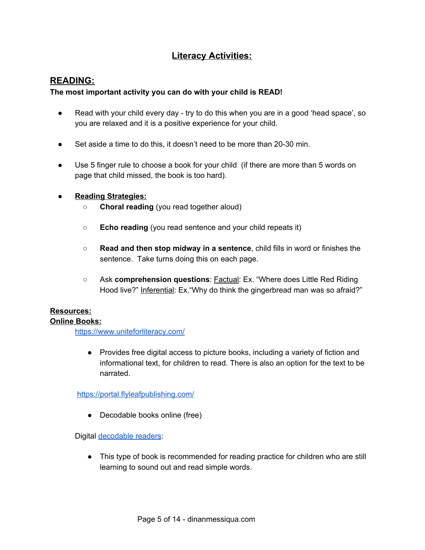# **Literacy Activities:**

## **READING:**

#### **The most important activity you can do with your child is READ!**

- Read with your child every day try to do this when you are in a good 'head space', so you are relaxed and it is a positive experience for your child.
- Set aside a time to do this, it doesn't need to be more than 20-30 min.
- Use 5 finger rule to choose a book for your child (if there are more than 5 words on page that child missed, the book is too hard).

#### **● Reading Strategies:**

- **○ Choral reading** (you read together aloud)
- **○ Echo reading** (you read sentence and your child repeats it)
- **○ Read and then stop midway in a sentence**, child fills in word or finishes the sentence. Take turns doing this on each page.
- **○** Ask **comprehension questions**: Factual: Ex. "Where does Little Red Riding Hood live?" Inferential: Ex. "Why do think the gingerbread man was so afraid?"

# **Resources:**

#### **Online Books:**

<https://www.uniteforliteracy.com/>

● Provides free digital access to picture books, including a variety of fiction and informational text, for children to read. There is also an option for the text to be narrated.

<https://portal.flyleafpublishing.com/>

• Decodable books online (free)

Digital [decodable](https://www.speld-sa.org.au/services/phonic-books.html) readers:

• This type of book is recommended for reading practice for children who are still learning to sound out and read simple words.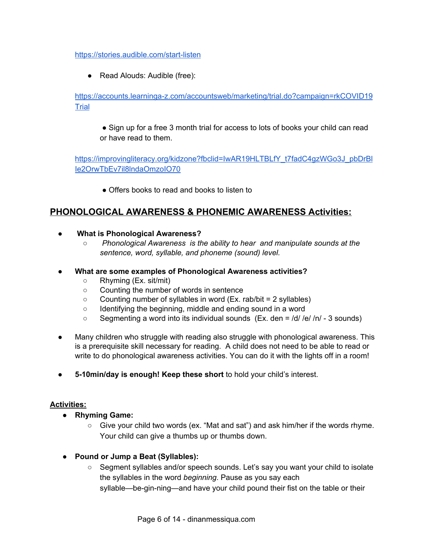#### <https://stories.audible.com/start-listen>

● Read Alouds: Audible (free):

[https://accounts.learninga-z.com/accountsweb/marketing/trial.do?campaign=rkCOVID19](https://accounts.learninga-z.com/accountsweb/marketing/trial.do?campaign=rkCOVID19Trial) **[Trial](https://accounts.learninga-z.com/accountsweb/marketing/trial.do?campaign=rkCOVID19Trial)** 

● Sign up for a free 3 month trial for access to lots of books your child can read or have read to them.

[https://improvingliteracy.org/kidzone?fbclid=IwAR19HLTBLfY\\_t7fadC4gzWGo3J\\_pbDrBl](https://improvingliteracy.org/kidzone?fbclid=IwAR19HLTBLfY_t7fadC4gzWGo3J_pbDrBlIe2OrwTbEv7il8lndaOmzoIO70) [Ie2OrwTbEv7il8lndaOmzoIO70](https://improvingliteracy.org/kidzone?fbclid=IwAR19HLTBLfY_t7fadC4gzWGo3J_pbDrBlIe2OrwTbEv7il8lndaOmzoIO70)

• Offers books to read and books to listen to

## **PHONOLOGICAL AWARENESS & PHONEMIC AWARENESS Activities:**

- **What is Phonological Awareness?**
	- *Phonological Awareness is the ability to hear and manipulate sounds at the sentence, word, syllable, and phoneme (sound) level.*
- **● What are some examples of Phonological Awareness activities?**
	- Rhyming (Ex. sit/mit)
	- Counting the number of words in sentence
	- $\circ$  Counting number of syllables in word (Ex. rab/bit = 2 syllables)
	- Identifying the beginning, middle and ending sound in a word
	- $\circ$  Segmenting a word into its individual sounds (Ex. den =  $\frac{d}{dt}$  /n/ 3 sounds)
- Many children who struggle with reading also struggle with phonological awareness. This is a prerequisite skill necessary for reading. A child does not need to be able to read or write to do phonological awareness activities. You can do it with the lights off in a room!
- **5-10min/day is enough! Keep these short** to hold your child's interest.

#### **Activities:**

- **● Rhyming Game:**
	- $\circ$  Give your child two words (ex. "Mat and sat") and ask him/her if the words rhyme. Your child can give a thumbs up or thumbs down.
- **● Pound or Jump a Beat (Syllables):**
	- Segment syllables and/or speech sounds. Let's say you want your child to isolate the syllables in the word *beginning*. Pause as you say each syllable—be-gin-ning—and have your child pound their fist on the table or their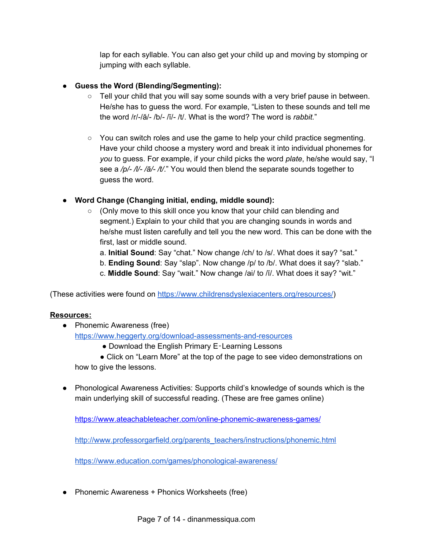lap for each syllable. You can also get your child up and moving by stomping or jumping with each syllable.

## **● Guess the Word (Blending/Segmenting):**

- $\circ$  Tell your child that you will say some sounds with a very brief pause in between. He/she has to guess the word. For example, "Listen to these sounds and tell me the word /r/-/ă/- /b/- /ĭ/- /t/. What is the word? The word is *rabbit.*"
- You can switch roles and use the game to help your child practice segmenting. Have your child choose a mystery word and break it into individual phonemes for *you* to guess. For example, if your child picks the word *plate*, he/she would say, "I see a */p/- /l/- /ā/- /t/*." You would then blend the separate sounds together to guess the word.

## **● Word Change (Changing initial, ending, middle sound):**

- (Only move to this skill once you know that your child can blending and segment.) Explain to your child that you are changing sounds in words and he/she must listen carefully and tell you the new word. This can be done with the first, last or middle sound.
	- a. **Initial Sound**: Say "chat." Now change /ch/ to /s/. What does it say? "sat."
	- b. **Ending Sound**: Say "slap". Now change /p/ to /b/. What does it say? "slab."
	- c. **Middle Sound**: Say "wait." Now change /ai/ to /ĭ/. What does it say? "wit."

(These activities were found on <https://www.childrensdyslexiacenters.org/resources/>)

## **Resources:**

- Phonemic Awareness (free) <https://www.heggerty.org/download-assessments-and-resources>
	- Download the English Primary E-Learning Lessons

● Click on "Learn More" at the top of the page to see video demonstrations on how to give the lessons.

● Phonological Awareness Activities: Supports child's knowledge of sounds which is the main underlying skill of successful reading. (These are free games online)

<https://www.ateachableteacher.com/online-phonemic-awareness-games/>

[http://www.professorgarfield.org/parents\\_teachers/instructions/phonemic.html](http://www.professorgarfield.org/parents_teachers/instructions/phonemic.html)

<https://www.education.com/games/phonological-awareness/>

● Phonemic Awareness + Phonics Worksheets (free)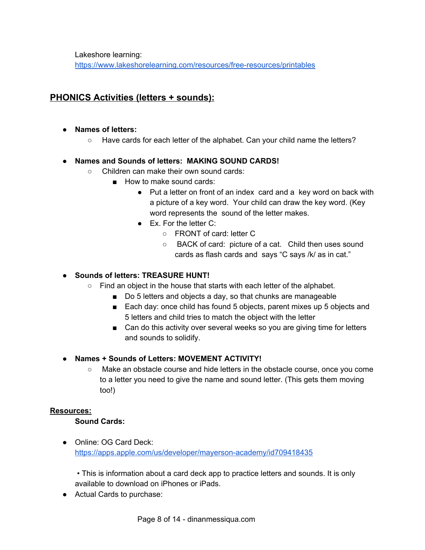Lakeshore learning:

<https://www.lakeshorelearning.com/resources/free-resources/printables>

## **PHONICS Activities (letters + sounds):**

- **● Names of letters:**
	- Have cards for each letter of the alphabet. Can your child name the letters?

## **● Names and Sounds of letters: MAKING SOUND CARDS!**

- Children can make their own sound cards:
	- How to make sound cards:
		- Put a letter on front of an index card and a key word on back with a picture of a key word. Your child can draw the key word. (Key word represents the sound of the letter makes.
		- Ex. For the letter C:
			- FRONT of card: letter C
			- BACK of card: picture of a cat. Child then uses sound cards as flash cards and says "C says /k/ as in cat."

## **● Sounds of letters: TREASURE HUNT!**

- Find an object in the house that starts with each letter of the alphabet.
	- Do 5 letters and objects a day, so that chunks are manageable
	- Each day: once child has found 5 objects, parent mixes up 5 objects and 5 letters and child tries to match the object with the letter
	- Can do this activity over several weeks so you are giving time for letters and sounds to solidify.
- **● Names + Sounds of Letters: MOVEMENT ACTIVITY!**
	- Make an obstacle course and hide letters in the obstacle course, once you come to a letter you need to give the name and sound letter. (This gets them moving too!)

#### **Resources:**

#### **Sound Cards:**

● Online: OG Card Deck: <https://apps.apple.com/us/developer/mayerson-academy/id709418435>

• This is information about a card deck app to practice letters and sounds. It is only available to download on iPhones or iPads.

● Actual Cards to purchase: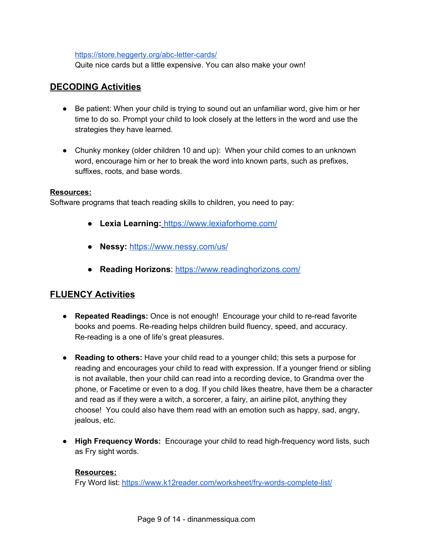#### <https://store.heggerty.org/abc-letter-cards/>

Quite nice cards but a little expensive. You can also make your own!

## **DECODING Activities**

- Be patient: When your child is trying to sound out an unfamiliar word, give him or her time to do so. Prompt your child to look closely at the letters in the word and use the strategies they have learned.
- Chunky monkey (older children 10 and up): When your child comes to an unknown word, encourage him or her to break the word into known parts, such as prefixes, suffixes, roots, and base words.

#### **Resources:**

Software programs that teach reading skills to children, you need to pay:

- **Lexia Learning:** <https://www.lexiaforhome.com/>
- **Nessy:** <https://www.nessy.com/us/>
- **Reading Horizons**: <https://www.readinghorizons.com/>

## **FLUENCY Activities**

- **Repeated Readings:** Once is not enough! Encourage your child to re-read favorite books and poems. Re-reading helps children build fluency, speed, and accuracy. Re-reading is a one of life's great pleasures.
- **Reading to others:** Have your child read to a younger child; this sets a purpose for reading and encourages your child to read with expression. If a younger friend or sibling is not available, then your child can read into a recording device, to Grandma over the phone, or Facetime or even to a dog. If you child likes theatre, have them be a character and read as if they were a witch, a sorcerer, a fairy, an airline pilot, anything they choose! You could also have them read with an emotion such as happy, sad, angry, jealous, etc.
- **High Frequency Words:** Encourage your child to read high-frequency word lists, such as Fry sight words.

#### **Resources:**

Fry Word list: <https://www.k12reader.com/worksheet/fry-words-complete-list/>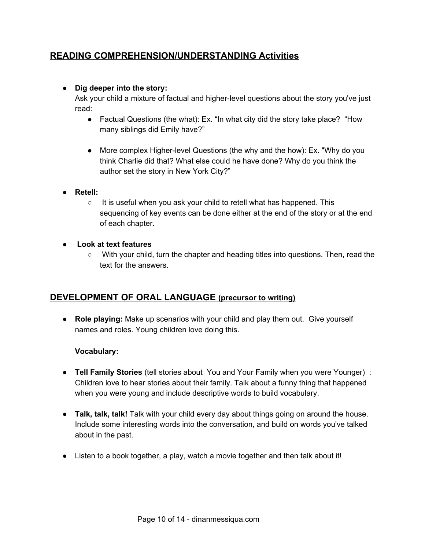## **READING COMPREHENSION/UNDERSTANDING Activities**

### **● Dig deeper into the story:**

Ask your child a mixture of factual and higher-level questions about the story you've just read:

- Factual Questions (the what): Ex. "In what city did the story take place? "How many siblings did Emily have?"
- More complex Higher-level Questions (the why and the how): Ex. "Why do you think Charlie did that? What else could he have done? Why do you think the author set the story in New York City?"
- **● Retell:**
	- It is useful when you ask your child to retell what has happened. This sequencing of key events can be done either at the end of the story or at the end of each chapter.
- **● Look at text features**
	- $\circ$  With your child, turn the chapter and heading titles into questions. Then, read the text for the answers.

## **DEVELOPMENT OF ORAL LANGUAGE (precursor to writing)**

● **Role playing:** Make up scenarios with your child and play them out. Give yourself names and roles. Young children love doing this.

## **Vocabulary:**

- **Tell Family Stories** (tell stories about You and Your Family when you were Younger) : Children love to hear stories about their family. Talk about a funny thing that happened when you were young and include descriptive words to build vocabulary.
- **Talk, talk, talk!** Talk with your child every day about things going on around the house. Include some interesting words into the conversation, and build on words you've talked about in the past.
- Listen to a book together, a play, watch a movie together and then talk about it!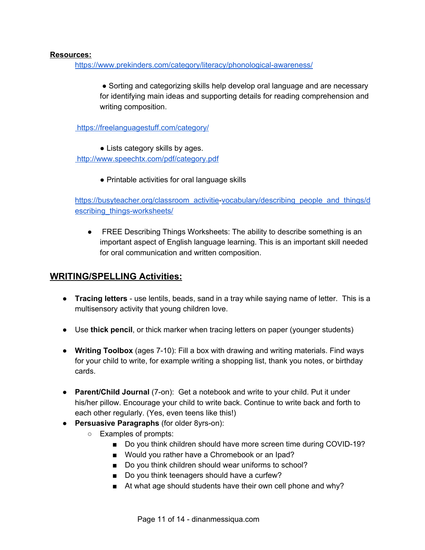#### **Resources:**

<https://www.prekinders.com/category/literacy/phonological-awareness/>

● Sorting and categorizing skills help develop oral language and are necessary for identifying main ideas and supporting details for reading comprehension and writing composition.

<https://freelanguagestuff.com/category/>

● Lists category skills by ages.

<http://www.speechtx.com/pdf/category.pdf>

● Printable activities for oral language skills

[https://busyteacher.org/classroom\\_activitie-vocabulary/describing\\_people\\_and\\_things/d](https://busyteacher.org/classroom_activitiesvocabulary/describing_people_and_things/describing_things-worksheets/) [escribing\\_things-worksheets/](https://busyteacher.org/classroom_activitiesvocabulary/describing_people_and_things/describing_things-worksheets/)

● FREE Describing Things Worksheets: The ability to describe something is an important aspect of English language learning. This is an important skill needed for oral communication and written composition.

## **WRITING/SPELLING Activities:**

- **Tracing letters** use lentils, beads, sand in a tray while saying name of letter. This is a multisensory activity that young children love.
- Use **thick pencil**, or thick marker when tracing letters on paper (younger students)
- **Writing Toolbox** (ages 7-10): Fill a box with drawing and writing materials. Find ways for your child to write, for example writing a shopping list, thank you notes, or birthday cards.
- **Parent/Child Journal** (7-on): Get a notebook and write to your child. Put it under his/her pillow. Encourage your child to write back. Continue to write back and forth to each other regularly. (Yes, even teens like this!)
- **Persuasive Paragraphs** (for older 8yrs-on):
	- Examples of prompts:
		- Do you think children should have more screen time during COVID-19?
		- Would you rather have a Chromebook or an Ipad?
		- Do you think children should wear uniforms to school?
		- Do you think teenagers should have a curfew?
		- At what age should students have their own cell phone and why?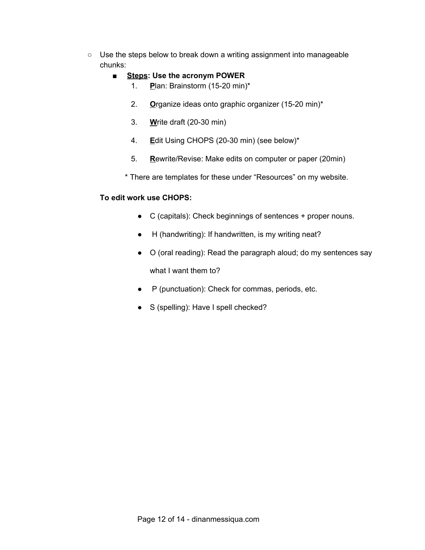- Use the steps below to break down a writing assignment into manageable chunks:
	- **Steps: Use the acronym POWER**
		- 1. **P**lan: Brainstorm (15-20 min)\*
		- 2. **O**rganize ideas onto graphic organizer (15-20 min)\*
		- 3. **W**rite draft (20-30 min)
		- 4. **E**dit Using CHOPS (20-30 min) (see below)\*
		- 5. **R**ewrite/Revise: Make edits on computer or paper (20min)
		- \* There are templates for these under "Resources" on my website.

#### **To edit work use CHOPS:**

- C (capitals): Check beginnings of sentences + proper nouns.
- H (handwriting): If handwritten, is my writing neat?
- O (oral reading): Read the paragraph aloud; do my sentences say what I want them to?
- P (punctuation): Check for commas, periods, etc.
- S (spelling): Have I spell checked?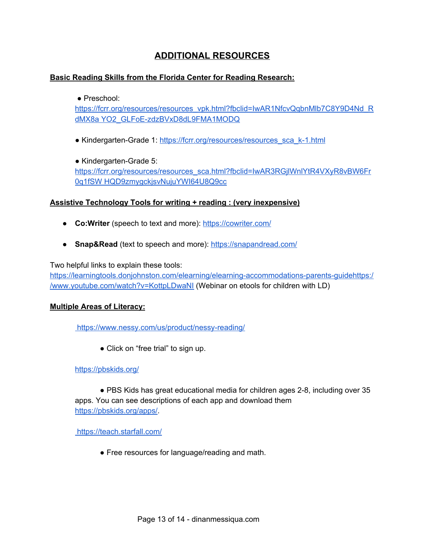# **ADDITIONAL RESOURCES**

### **Basic Reading Skills from the Florida Center for Reading Research:**

#### ● Preschool:

[https://fcrr.org/resources/resources\\_vpk.html?fbclid=IwAR1NfcvQqbnMlb7C8Y9D4Nd\\_R](https://fcrr.org/resources/resources_vpk.html?fbclid=IwAR1NfcvQqbnMlb7C8Y9D4Nd_RdMX8a) dMX8a [YO2\\_GLFoE-zdzBVxD8dL9FMA1MODQ](https://fcrr.org/resources/resources_vpk.html?fbclid=IwAR1NfcvQqbnMlb7C8Y9D4Nd_RdMX8a)

• Kindergarten-Grade 1: [https://fcrr.org/resources/resources\\_sca\\_k-1.html](https://fcrr.org/resources/resources_sca_k-1.html)

● Kindergarten-Grade 5: [https://fcrr.org/resources/resources\\_sca.html?fbclid=IwAR3RGjlWnlYtR4VXyR8vBW6Fr](https://fcrr.org/resources/resources_sca.html?fbclid=IwAR3RGjlWnlYtR4VXyR8vBW6Fr0q1fSW) 0q1fSW [HQD9zmygckjsvNujuYWI64U8Q9cc](https://fcrr.org/resources/resources_sca.html?fbclid=IwAR3RGjlWnlYtR4VXyR8vBW6Fr0q1fSW)

#### **Assistive Technology Tools for writing + reading : (very inexpensive)**

- **Co:Writer** (speech to text and more): <https://cowriter.com/>
- **Snap&Read** (text to speech and more): <https://snapandread.com/>

Two helpful links to explain these tools:

[https://learningtools.donjohnston.com/elearning/elearning-accommodations-parents-guide](https://learningtools.donjohnston.com/elearning/elearning-accommodations-parents-guide/)[https:/](https://www.youtube.com/watch?v=KottpLDwaNI) [/www.youtube.com/watch?v=KottpLDwaNI](https://www.youtube.com/watch?v=KottpLDwaNI) (Webinar on etools for children with LD)

#### **Multiple Areas of Literacy:**

<https://www.nessy.com/us/product/nessy-reading/>

• Click on "free trial" to sign up.

#### <https://pbskids.org/>

● PBS Kids has great educational media for children ages 2-8, including over 35 apps. You can see descriptions of each app and download them <https://pbskids.org/apps/>.

<https://teach.starfall.com/>

• Free resources for language/reading and math.